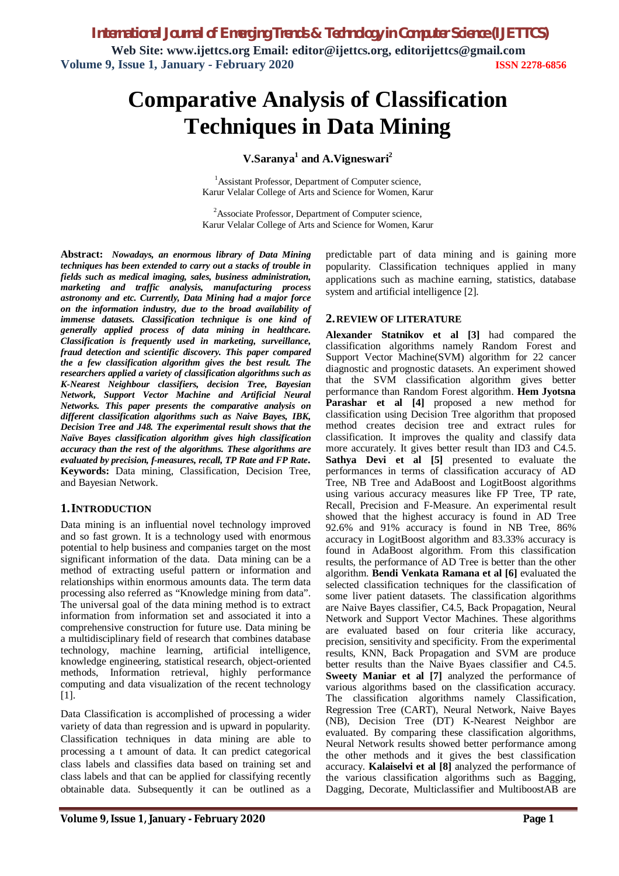*International Journal of Emerging Trends & Technology in Computer Science (IJETTCS)* **Web Site: www.ijettcs.org Email: editor@ijettcs.org, [editorijettcs@gmail.com](mailto:editorijettcs@gmail.com)  Volume 9, Issue 1, January - February 2020 ISSN 2278-6856**

# **Comparative Analysis of Classification Techniques in Data Mining**

**V.Saranya<sup>1</sup> and A.Vigneswari 2**

<sup>1</sup>Assistant Professor, Department of Computer science, Karur Velalar College of Arts and Science for Women, Karur

<sup>2</sup>Associate Professor, Department of Computer science, Karur Velalar College of Arts and Science for Women, Karur

**Abstract:** *Nowadays, an enormous library of Data Mining techniques has been extended to carry out a stacks of trouble in fields such as medical imaging, sales, business administration, marketing and traffic analysis, manufacturing process astronomy and etc. Currently, Data Mining had a major force on the information industry, due to the broad availability of immense datasets. Classification technique is one kind of generally applied process of data mining in healthcare. Classification is frequently used in marketing, surveillance, fraud detection and scientific discovery. This paper compared the a few classification algorithm gives the best result. The researchers applied a variety of classification algorithms such as K-Nearest Neighbour classifiers, decision Tree, Bayesian Network, Support Vector Machine and Artificial Neural Networks. This paper presents the comparative analysis on different classification algorithms such as Naive Bayes, IBK, Decision Tree and J48. The experimental result shows that the Naïve Bayes classification algorithm gives high classification accuracy than the rest of the algorithms. These algorithms are evaluated by precision, f-measures, recall, TP Rate and FP Rate***. Keywords:** Data mining, Classification, Decision Tree, and Bayesian Network.

#### **1.INTRODUCTION**

Data mining is an influential novel technology improved and so fast grown. It is a technology used with enormous potential to help business and companies target on the most significant information of the data. Data mining can be a method of extracting useful pattern or information and relationships within enormous amounts data. The term data processing also referred as "Knowledge mining from data". The universal goal of the data mining method is to extract information from information set and associated it into a comprehensive construction for future use. Data mining be a multidisciplinary field of research that combines database technology, machine learning, artificial intelligence, knowledge engineering, statistical research, object-oriented methods, Information retrieval, highly performance computing and data visualization of the recent technology [1].

Data Classification is accomplished of processing a wider variety of data than regression and is upward in popularity. Classification techniques in data mining are able to processing a t amount of data. It can predict categorical class labels and classifies data based on training set and class labels and that can be applied for classifying recently obtainable data. Subsequently it can be outlined as a

predictable part of data mining and is gaining more popularity. Classification techniques applied in many applications such as machine earning, statistics, database system and artificial intelligence [2].

#### **2.REVIEW OF LITERATURE**

**Alexander Statnikov et al [3]** had compared the classification algorithms namely Random Forest and Support Vector Machine(SVM) algorithm for 22 cancer diagnostic and prognostic datasets. An experiment showed that the SVM classification algorithm gives better performance than Random Forest algorithm. **Hem Jyotsna Parashar et al [4]** proposed a new method for classification using Decision Tree algorithm that proposed method creates decision tree and extract rules for classification. It improves the quality and classify data more accurately. It gives better result than ID3 and C4.5. **Sathya Devi et al [5]** presented to evaluate the performances in terms of classification accuracy of AD Tree, NB Tree and AdaBoost and LogitBoost algorithms using various accuracy measures like FP Tree, TP rate, Recall, Precision and F-Measure. An experimental result showed that the highest accuracy is found in AD Tree 92.6% and 91% accuracy is found in NB Tree, 86% accuracy in LogitBoost algorithm and 83.33% accuracy is found in AdaBoost algorithm. From this classification results, the performance of AD Tree is better than the other algorithm. **Bendi Venkata Ramana et al [6]** evaluated the selected classification techniques for the classification of some liver patient datasets. The classification algorithms are Naive Bayes classifier, C4.5, Back Propagation, Neural Network and Support Vector Machines. These algorithms are evaluated based on four criteria like accuracy, precision, sensitivity and specificity. From the experimental results, KNN, Back Propagation and SVM are produce better results than the Naive Byaes classifier and C4.5. **Sweety Maniar et al [7]** analyzed the performance of various algorithms based on the classification accuracy. The classification algorithms namely Classification, Regression Tree (CART), Neural Network, Naive Bayes (NB), Decision Tree (DT) K-Nearest Neighbor are evaluated. By comparing these classification algorithms, Neural Network results showed better performance among the other methods and it gives the best classification accuracy. **Kalaiselvi et al [8]** analyzed the performance of the various classification algorithms such as Bagging, Dagging, Decorate, Multiclassifier and MultiboostAB are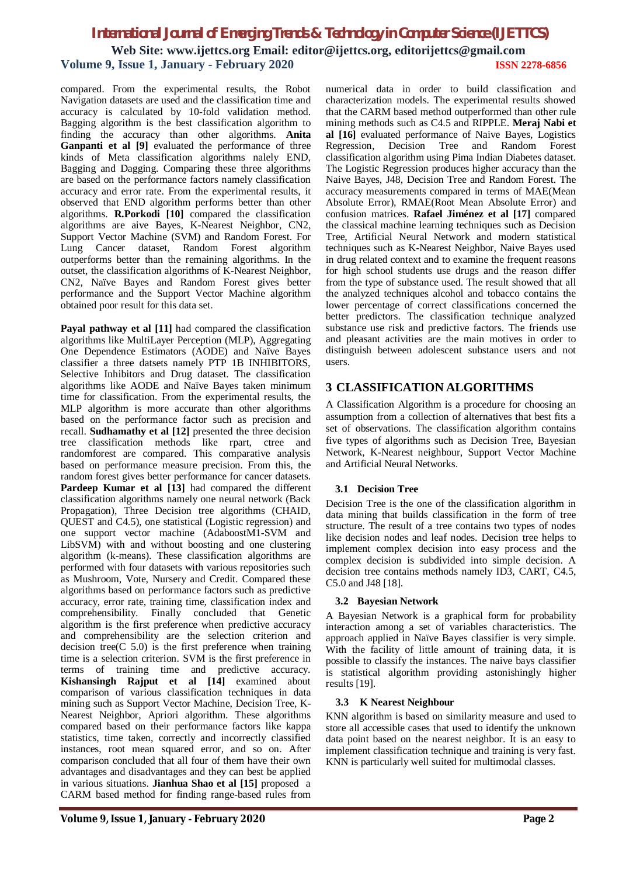## *International Journal of Emerging Trends & Technology in Computer Science (IJETTCS)* **Web Site: www.ijettcs.org Email: editor@ijettcs.org, [editorijettcs@gmail.com](mailto:editorijettcs@gmail.com)  Volume 9, Issue 1, January - February 2020 ISSN 2278-6856**

compared. From the experimental results, the Robot Navigation datasets are used and the classification time and accuracy is calculated by 10-fold validation method. Bagging algorithm is the best classification algorithm to finding the accuracy than other algorithms. **Anita Ganpanti et al [9]** evaluated the performance of three kinds of Meta classification algorithms nalely END, Bagging and Dagging. Comparing these three algorithms are based on the performance factors namely classification accuracy and error rate. From the experimental results, it observed that END algorithm performs better than other algorithms. **R.Porkodi [10]** compared the classification algorithms are aive Bayes, K-Nearest Neighbor, CN2, Support Vector Machine (SVM) and Random Forest. For Lung Cancer dataset, Random Forest algorithm Lung Cancer dataset, Random Forest algorithm outperforms better than the remaining algorithms. In the outset, the classification algorithms of K-Nearest Neighbor, CN2, Naïve Bayes and Random Forest gives better performance and the Support Vector Machine algorithm obtained poor result for this data set.

**Payal pathway et al [11]** had compared the classification algorithms like MultiLayer Perception (MLP), Aggregating One Dependence Estimators (AODE) and Naïve Bayes classifier a three datsets namely PTP 1B INHIBITORS, Selective Inhibitors and Drug dataset. The classification algorithms like AODE and Naïve Bayes taken minimum time for classification. From the experimental results, the MLP algorithm is more accurate than other algorithms based on the performance factor such as precision and recall. **Sudhamathy et al [12]** presented the three decision tree classification methods like rpart, ctree and randomforest are compared. This comparative analysis based on performance measure precision. From this, the random forest gives better performance for cancer datasets. **Pardeep Kumar et al [13]** had compared the different classification algorithms namely one neural network (Back Propagation), Three Decision tree algorithms (CHAID, QUEST and C4.5), one statistical (Logistic regression) and one support vector machine (AdaboostM1-SVM and LibSVM) with and without boosting and one clustering algorithm (k-means). These classification algorithms are performed with four datasets with various repositories such as Mushroom, Vote, Nursery and Credit. Compared these algorithms based on performance factors such as predictive accuracy, error rate, training time, classification index and comprehensibility. Finally concluded that Genetic algorithm is the first preference when predictive accuracy and comprehensibility are the selection criterion and decision tree(C 5.0) is the first preference when training time is a selection criterion. SVM is the first preference in terms of training time and predictive accuracy. **Kishansingh Rajput et al [14]** examined about comparison of various classification techniques in data mining such as Support Vector Machine, Decision Tree, K-Nearest Neighbor, Apriori algorithm. These algorithms compared based on their performance factors like kappa statistics, time taken, correctly and incorrectly classified instances, root mean squared error, and so on. After comparison concluded that all four of them have their own advantages and disadvantages and they can best be applied in various situations. **Jianhua Shao et al [15]** proposed a CARM based method for finding range-based rules from

numerical data in order to build classification and characterization models. The experimental results showed that the CARM based method outperformed than other rule mining methods such as C4.5 and RIPPLE. **Meraj Nabi et al [16]** evaluated performance of Naive Bayes, Logistics Regression, Decision Tree and Random Forest classification algorithm using Pima Indian Diabetes dataset. The Logistic Regression produces higher accuracy than the Naive Bayes, J48, Decision Tree and Random Forest. The accuracy measurements compared in terms of MAE(Mean Absolute Error), RMAE(Root Mean Absolute Error) and confusion matrices. **Rafael Jiménez et al [17]** compared the classical machine learning techniques such as Decision Tree, Artificial Neural Network and modern statistical techniques such as K-Nearest Neighbor, Naive Bayes used in drug related context and to examine the frequent reasons for high school students use drugs and the reason differ from the type of substance used. The result showed that all the analyzed techniques alcohol and tobacco contains the lower percentage of correct classifications concerned the better predictors. The classification technique analyzed substance use risk and predictive factors. The friends use and pleasant activities are the main motives in order to distinguish between adolescent substance users and not users.

#### **3 CLASSIFICATION ALGORITHMS**

A Classification Algorithm is a procedure for choosing an assumption from a collection of alternatives that best fits a set of observations. The classification algorithm contains five types of algorithms such as Decision Tree, Bayesian Network, K-Nearest neighbour, Support Vector Machine and Artificial Neural Networks.

#### **3.1 Decision Tree**

Decision Tree is the one of the classification algorithm in data mining that builds classification in the form of tree structure. The result of a tree contains two types of nodes like decision nodes and leaf nodes. Decision tree helps to implement complex decision into easy process and the complex decision is subdivided into simple decision. A decision tree contains methods namely ID3, CART, C4.5, C5.0 and J48 [18].

#### **3.2 Bayesian Network**

A Bayesian Network is a graphical form for probability interaction among a set of variables characteristics. The approach applied in Naïve Bayes classifier is very simple. With the facility of little amount of training data, it is possible to classify the instances. The naive bays classifier is statistical algorithm providing astonishingly higher results [19].

#### **3.3 K Nearest Neighbour**

KNN algorithm is based on similarity measure and used to store all accessible cases that used to identify the unknown data point based on the nearest neighbor. It is an easy to implement classification technique and training is very fast. KNN is particularly well suited for multimodal classes.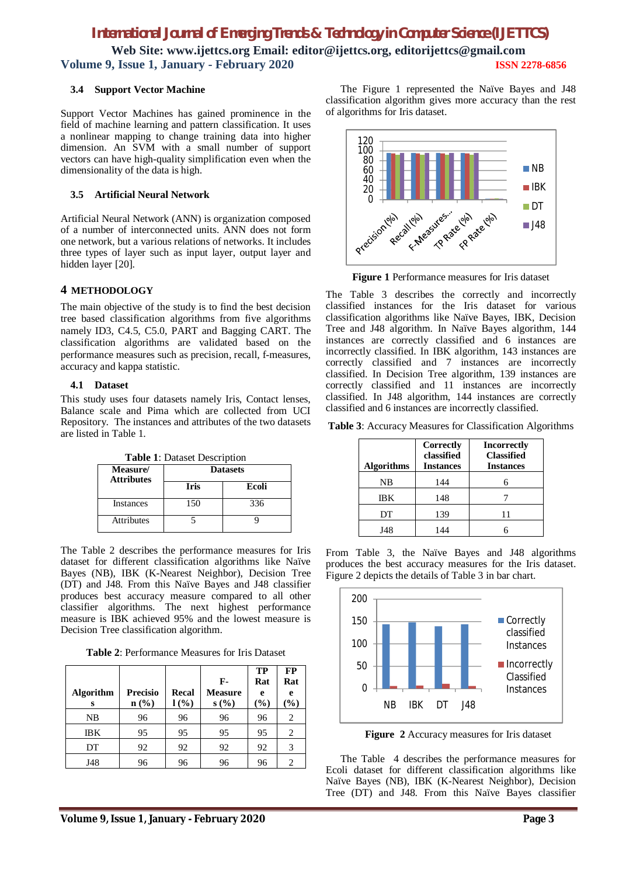## *International Journal of Emerging Trends & Technology in Computer Science (IJETTCS)*

**Web Site: www.ijettcs.org Email: editor@ijettcs.org, [editorijettcs@gmail.com](mailto:editorijettcs@gmail.com)  Volume 9, Issue 1, January - February 2020 ISSN 2278-6856**

#### **3.4 Support Vector Machine**

Support Vector Machines has gained prominence in the field of machine learning and pattern classification. It uses a nonlinear mapping to change training data into higher dimension. An SVM with a small number of support vectors can have high-quality simplification even when the dimensionality of the data is high.

#### **3.5 Artificial Neural Network**

Artificial Neural Network (ANN) is organization composed of a number of interconnected units. ANN does not form one network, but a various relations of networks. It includes three types of layer such as input layer, output layer and hidden layer [20].

#### **4 METHODOLOGY**

The main objective of the study is to find the best decision tree based classification algorithms from five algorithms namely ID3, C4.5, C5.0, PART and Bagging CART. The classification algorithms are validated based on the performance measures such as precision, recall, f-measures, accuracy and kappa statistic.

#### **4.1 Dataset**

This study uses four datasets namely Iris, Contact lenses, Balance scale and Pima which are collected from UCI Repository. The instances and attributes of the two datasets are listed in Table 1.

**Table 1**: Dataset Description

| Measure/<br><b>Attributes</b> | <b>Datasets</b> |       |  |
|-------------------------------|-----------------|-------|--|
|                               | <b>Iris</b>     | Ecoli |  |
| <b>Instances</b>              | 150             | 336   |  |
| <b>Attributes</b>             |                 |       |  |

The Table 2 describes the performance measures for Iris dataset for different classification algorithms like Naïve Bayes (NB), IBK (K-Nearest Neighbor), Decision Tree (DT) and J48. From this Naïve Bayes and J48 classifier produces best accuracy measure compared to all other classifier algorithms. The next highest performance measure is IBK achieved 95% and the lowest measure is Decision Tree classification algorithm.

**Table 2**: Performance Measures for Iris Dataset

| <b>Algorithm</b><br>S | <b>Precisio</b><br>$n$ (%) | Recal<br>$l($ %) | F-<br><b>Measure</b><br>s(%) | TP<br>Rat<br>e<br>$(\%)$ | <b>FP</b><br>Rat<br>e<br>$\mathcal{O}_\mathbf{0}$ |
|-----------------------|----------------------------|------------------|------------------------------|--------------------------|---------------------------------------------------|
| NB                    | 96                         | 96               | 96                           | 96                       | 2                                                 |
| IΒK                   | 95                         | 95               | 95                           | 95                       | 2                                                 |
| DT                    | 92                         | 92               | 92                           | 92                       | 3                                                 |
| J48                   | 96                         | 96               | 96                           | 96                       | 2                                                 |

The Figure 1 represented the Naïve Bayes and J48 classification algorithm gives more accuracy than the rest of algorithms for Iris dataset.



**Figure 1** Performance measures for Iris dataset

The Table 3 describes the correctly and incorrectly classified instances for the Iris dataset for various classification algorithms like Naïve Bayes, IBK, Decision Tree and J48 algorithm. In Naïve Bayes algorithm, 144 instances are correctly classified and 6 instances are incorrectly classified. In IBK algorithm, 143 instances are correctly classified and 7 instances are incorrectly classified. In Decision Tree algorithm, 139 instances are correctly classified and 11 instances are incorrectly classified. In J48 algorithm, 144 instances are correctly classified and 6 instances are incorrectly classified.

**Table 3**: Accuracy Measures for Classification Algorithms

| <b>Algorithms</b> | Correctly<br>classified<br><b>Instances</b> | <b>Incorrectly</b><br><b>Classified</b><br><b>Instances</b> |
|-------------------|---------------------------------------------|-------------------------------------------------------------|
| NΒ                | 144                                         |                                                             |
| IΒK               | 148                                         |                                                             |
| DT                | 139                                         | 11                                                          |
| J48               | 144                                         |                                                             |

From Table 3, the Naïve Bayes and J48 algorithms produces the best accuracy measures for the Iris dataset. Figure 2 depicts the details of Table 3 in bar chart.



**Figure 2** Accuracy measures for Iris dataset

The Table 4 describes the performance measures for Ecoli dataset for different classification algorithms like Naïve Bayes (NB), IBK (K-Nearest Neighbor), Decision Tree (DT) and J48. From this Naïve Bayes classifier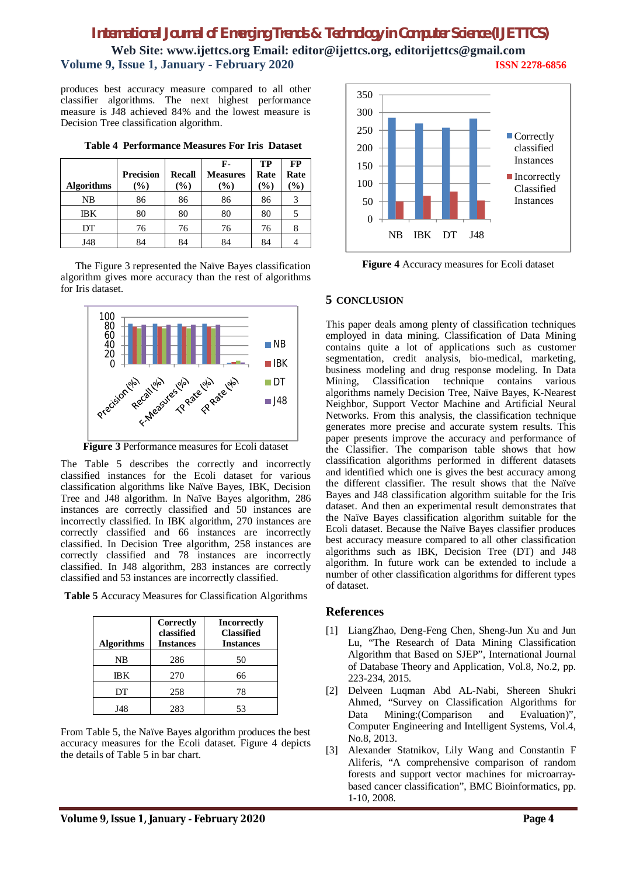## *International Journal of Emerging Trends & Technology in Computer Science (IJETTCS)*

**Web Site: www.ijettcs.org Email: editor@ijettcs.org, [editorijettcs@gmail.com](mailto:editorijettcs@gmail.com)  Volume 9, Issue 1, January - February 2020 ISSN 2278-6856**

produces best accuracy measure compared to all other classifier algorithms. The next highest performance measure is J48 achieved 84% and the lowest measure is Decision Tree classification algorithm.

| <b>Algorithms</b> | <b>Precision</b><br>$\frac{9}{0}$ | Recall<br>$(\%)$ | F-<br><b>Measures</b><br>$(\%)$ | TP<br>Rate<br>(%) | FP<br>Rate<br>$($ %) |
|-------------------|-----------------------------------|------------------|---------------------------------|-------------------|----------------------|
| NΒ                | 86                                | 86               | 86                              | 86                |                      |
| <b>IBK</b>        | 80                                | 80               | 80                              | 80                |                      |
| DT                | 76                                | 76               | 76                              | 76                |                      |
| J48               | 84                                | 84               |                                 | 84                |                      |

**Table 4 Performance Measures For Iris Dataset**

The Figure 3 represented the Naïve Bayes classification algorithm gives more accuracy than the rest of algorithms for Iris dataset.



**Figure 3** Performance measures for Ecoli dataset

The Table 5 describes the correctly and incorrectly classified instances for the Ecoli dataset for various classification algorithms like Naïve Bayes, IBK, Decision Tree and J48 algorithm. In Naïve Bayes algorithm, 286 instances are correctly classified and 50 instances are incorrectly classified. In IBK algorithm, 270 instances are correctly classified and 66 instances are incorrectly classified. In Decision Tree algorithm, 258 instances are correctly classified and 78 instances are incorrectly classified. In J48 algorithm, 283 instances are correctly classified and 53 instances are incorrectly classified.

| Table 5 Accuracy Measures for Classification Algorithms |  |  |  |
|---------------------------------------------------------|--|--|--|
|---------------------------------------------------------|--|--|--|

| <b>Algorithms</b> | Correctly<br>classified<br><b>Instances</b> | <b>Incorrectly</b><br><b>Classified</b><br><b>Instances</b> |
|-------------------|---------------------------------------------|-------------------------------------------------------------|
| NΒ                | 286                                         | 50                                                          |
| <b>IBK</b>        | 270                                         | 66                                                          |
| DТ                | 258                                         | 78                                                          |
| J48               | 283                                         | 53                                                          |

From Table 5, the Naïve Bayes algorithm produces the best accuracy measures for the Ecoli dataset. Figure 4 depicts the details of Table 5 in bar chart.



**Figure 4** Accuracy measures for Ecoli dataset

#### **5 CONCLUSION**

This paper deals among plenty of classification techniques employed in data mining. Classification of Data Mining contains quite a lot of applications such as customer segmentation, credit analysis, bio-medical, marketing, business modeling and drug response modeling. In Data Mining, Classification technique contains various algorithms namely Decision Tree, Naïve Bayes, K-Nearest Neighbor, Support Vector Machine and Artificial Neural Networks. From this analysis, the classification technique generates more precise and accurate system results. This paper presents improve the accuracy and performance of the Classifier. The comparison table shows that how classification algorithms performed in different datasets and identified which one is gives the best accuracy among the different classifier. The result shows that the Naïve Bayes and J48 classification algorithm suitable for the Iris dataset. And then an experimental result demonstrates that the Naïve Bayes classification algorithm suitable for the Ecoli dataset. Because the Naïve Bayes classifier produces best accuracy measure compared to all other classification algorithms such as IBK, Decision Tree (DT) and J48 algorithm. In future work can be extended to include a number of other classification algorithms for different types of dataset.

#### **References**

- [1] LiangZhao, Deng-Feng Chen, Sheng-Jun Xu and Jun Lu, "The Research of Data Mining Classification Algorithm that Based on SJEP", International Journal of Database Theory and Application, Vol.8, No.2, pp. 223-234, 2015.
- [2] Delveen Luqman Abd AL-Nabi, Shereen Shukri Ahmed, "Survey on Classification Algorithms for Data Mining:(Comparison and Evaluation)", Computer Engineering and Intelligent Systems, Vol.4, No.8, 2013.
- [3] Alexander Statnikov, Lily Wang and Constantin F Aliferis, "A comprehensive comparison of random forests and support vector machines for microarraybased cancer classification", BMC Bioinformatics, pp. 1-10, 2008.